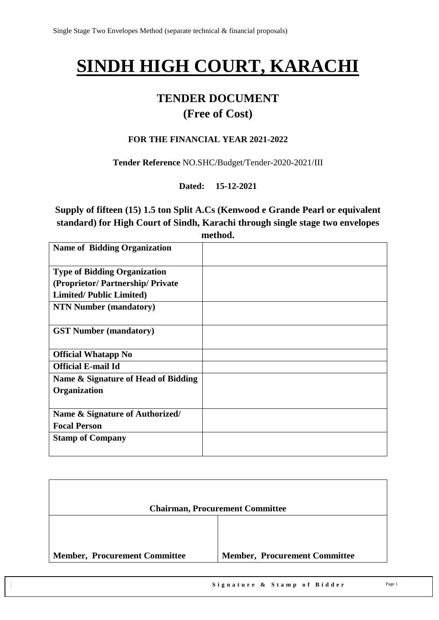# **SINDH HIGH COURT, KARACHI**

# **TENDER DOCUMENT**

# **(Free of Cost)**

#### **FOR THE FINANCIAL YEAR 2021-2022**

**Tender Reference** NO.SHC/Budget/Tender-2020-2021/III

**Dated: 15-12-2021**

**Supply of fifteen (15) 1.5 ton Split A.Cs (Kenwood e Grande Pearl or equivalent standard) for High Court of Sindh, Karachi through single stage two envelopes method.**

| <b>Name of Bidding Organization</b> |  |
|-------------------------------------|--|
| <b>Type of Bidding Organization</b> |  |
| (Proprietor/Partnership/Private     |  |
| <b>Limited/Public Limited)</b>      |  |
| <b>NTN Number (mandatory)</b>       |  |
| <b>GST Number (mandatory)</b>       |  |
| <b>Official Whatapp No</b>          |  |
| <b>Official E-mail Id</b>           |  |
| Name & Signature of Head of Bidding |  |
| Organization                        |  |
| Name & Signature of Authorized/     |  |
| <b>Focal Person</b>                 |  |
| <b>Stamp of Company</b>             |  |

|                                      | <b>Chairman, Procurement Committee</b> |
|--------------------------------------|----------------------------------------|
|                                      |                                        |
| <b>Member, Procurement Committee</b> | <b>Member, Procurement Committee</b>   |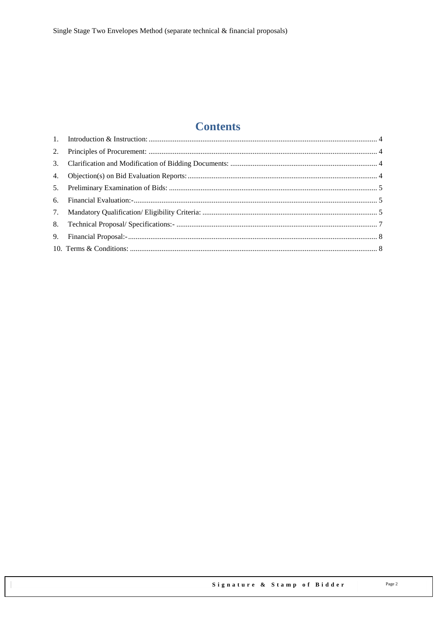# **Contents**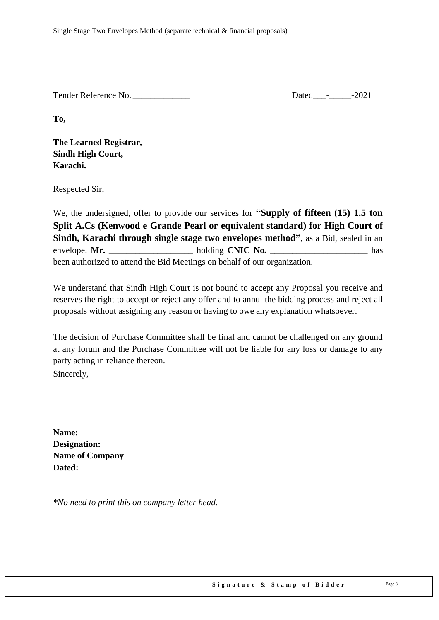Tender Reference No. 2021

**To,** 

**The Learned Registrar, Sindh High Court, Karachi.**

Respected Sir,

We, the undersigned, offer to provide our services for **"Supply of fifteen (15) 1.5 ton Split A.Cs (Kenwood e Grande Pearl or equivalent standard) for High Court of Sindh, Karachi through single stage two envelopes method"**, as a Bid, sealed in an envelope. **Mr.**  $h$ olding **CNIC No.** has been authorized to attend the Bid Meetings on behalf of our organization.

We understand that Sindh High Court is not bound to accept any Proposal you receive and reserves the right to accept or reject any offer and to annul the bidding process and reject all proposals without assigning any reason or having to owe any explanation whatsoever.

The decision of Purchase Committee shall be final and cannot be challenged on any ground at any forum and the Purchase Committee will not be liable for any loss or damage to any party acting in reliance thereon. Sincerely,

**Name: Designation: Name of Company Dated:**

*\*No need to print this on company letter head.*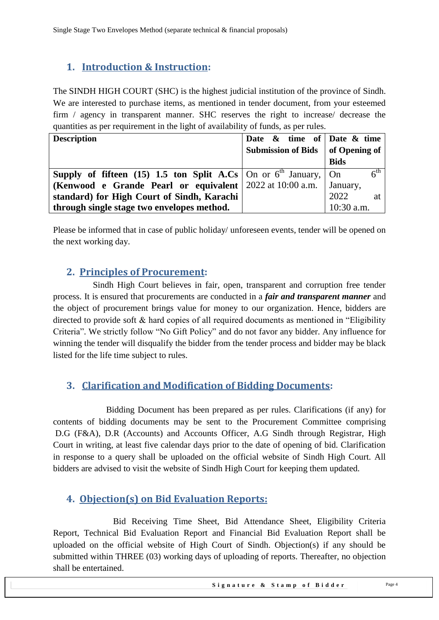# <span id="page-3-0"></span>**1. Introduction & Instruction:**

The SINDH HIGH COURT (SHC) is the highest judicial institution of the province of [Sindh.](https://en.wikipedia.org/wiki/Sindh) We are interested to purchase items, as mentioned in tender document, from your esteemed firm / agency in transparent manner. SHC reserves the right to increase/ decrease the quantities as per requirement in the light of availability of funds, as per rules.

| <b>Description</b>                                                                          | Date $\&$ time of Date $\&$ time   |                 |
|---------------------------------------------------------------------------------------------|------------------------------------|-----------------|
|                                                                                             | Submission of Bids   of Opening of |                 |
|                                                                                             |                                    | <b>Bids</b>     |
| <b>Supply of fifteen</b> (15) 1.5 ton Split A.Cs $\vert$ On or $6^{th}$ January, $\vert$ On |                                    | $6^{\text{th}}$ |
| (Kenwood e Grande Pearl or equivalent   2022 at 10:00 a.m.                                  |                                    | January,        |
| standard) for High Court of Sindh, Karachi                                                  |                                    | 2022<br>at      |
| through single stage two envelopes method.                                                  |                                    | $10:30$ a.m.    |

<span id="page-3-1"></span>Please be informed that in case of public holiday/ unforeseen events, tender will be opened on the next working day.

## **2. Principles of Procurement:**

 Sindh High Court believes in fair, open, transparent and corruption free tender process. It is ensured that procurements are conducted in a *fair and transparent manner* and the object of procurement brings value for money to our organization. Hence, bidders are directed to provide soft  $\&$  hard copies of all required documents as mentioned in "Eligibility" Criteria". We strictly follow "No Gift Policy" and do not favor any bidder. Any influence for winning the tender will disqualify the bidder from the tender process and bidder may be black listed for the life time subject to rules.

## <span id="page-3-2"></span>**3. Clarification and Modification of Bidding Documents:**

Bidding Document has been prepared as per rules. Clarifications (if any) for contents of bidding documents may be sent to the Procurement Committee comprising D.G (F&A), D.R (Accounts) and Accounts Officer, A.G Sindh through Registrar, High Court in writing, at least five calendar days prior to the date of opening of bid. Clarification in response to a query shall be uploaded on the official website of Sindh High Court. All bidders are advised to visit the website of Sindh High Court for keeping them updated.

## <span id="page-3-3"></span>**4. Objection(s) on Bid Evaluation Reports:**

 Bid Receiving Time Sheet, Bid Attendance Sheet, Eligibility Criteria Report, Technical Bid Evaluation Report and Financial Bid Evaluation Report shall be uploaded on the official website of High Court of Sindh. Objection(s) if any should be submitted within THREE (03) working days of uploading of reports. Thereafter, no objection shall be entertained.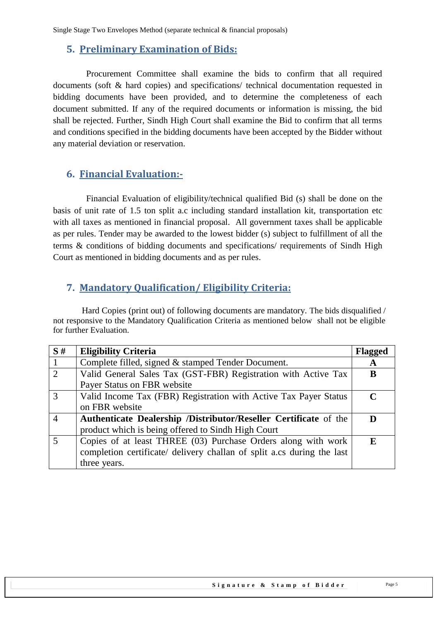Single Stage Two Envelopes Method (separate technical & financial proposals)

#### <span id="page-4-0"></span>**5. Preliminary Examination of Bids:**

 Procurement Committee shall examine the bids to confirm that all required documents (soft & hard copies) and specifications/ technical documentation requested in bidding documents have been provided, and to determine the completeness of each document submitted. If any of the required documents or information is missing, the bid shall be rejected. Further, Sindh High Court shall examine the Bid to confirm that all terms and conditions specified in the bidding documents have been accepted by the Bidder without any material deviation or reservation.

#### <span id="page-4-1"></span>**6. Financial Evaluation:-**

 Financial Evaluation of eligibility/technical qualified Bid (s) shall be done on the basis of unit rate of 1.5 ton split a.c including standard installation kit, transportation etc with all taxes as mentioned in financial proposal. All government taxes shall be applicable as per rules. Tender may be awarded to the lowest bidder (s) subject to fulfillment of all the terms & conditions of bidding documents and specifications/ requirements of Sindh High Court as mentioned in bidding documents and as per rules.

## <span id="page-4-2"></span>**7. Mandatory Qualification/ Eligibility Criteria:**

 Hard Copies (print out) of following documents are mandatory. The bids disqualified / not responsive to the Mandatory Qualification Criteria as mentioned below shall not be eligible for further Evaluation.

| S#             | <b>Eligibility Criteria</b>                                             | <b>Flagged</b> |
|----------------|-------------------------------------------------------------------------|----------------|
|                | Complete filled, signed & stamped Tender Document.                      | A              |
| 2              | Valid General Sales Tax (GST-FBR) Registration with Active Tax          | B              |
|                | Payer Status on FBR website                                             |                |
| 3              | Valid Income Tax (FBR) Registration with Active Tax Payer Status        | $\mathcal{C}$  |
|                | on FBR website                                                          |                |
| $\overline{4}$ | <b>Authenticate Dealership /Distributor/Reseller Certificate of the</b> |                |
|                | product which is being offered to Sindh High Court                      |                |
| 5              | Copies of at least THREE (03) Purchase Orders along with work           | E.             |
|                | completion certificate/ delivery challan of split a.cs during the last  |                |
|                | three years.                                                            |                |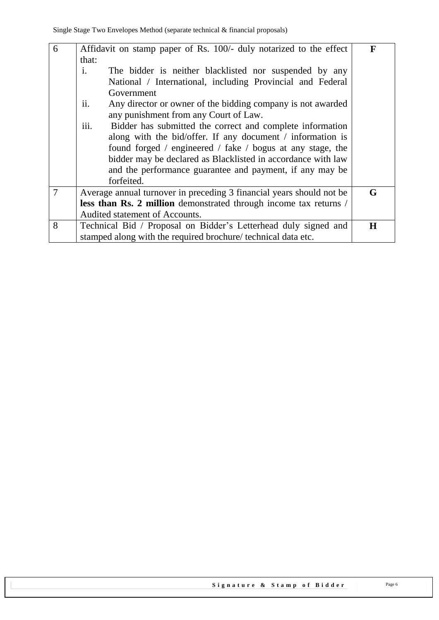| $6\overline{6}$ | Affidavit on stamp paper of Rs. 100/- duly notarized to the effect<br>that:                                 | F       |
|-----------------|-------------------------------------------------------------------------------------------------------------|---------|
|                 | $\mathbf{i}$ .<br>The bidder is neither blacklisted nor suspended by any                                    |         |
|                 | National / International, including Provincial and Federal                                                  |         |
|                 | Government                                                                                                  |         |
|                 | ii.<br>Any director or owner of the bidding company is not awarded<br>any punishment from any Court of Law. |         |
|                 | iii.<br>Bidder has submitted the correct and complete information                                           |         |
|                 | along with the bid/offer. If any document / information is                                                  |         |
|                 | found forged / engineered / fake / bogus at any stage, the                                                  |         |
|                 | bidder may be declared as Blacklisted in accordance with law                                                |         |
|                 | and the performance guarantee and payment, if any may be                                                    |         |
|                 | forfeited.                                                                                                  |         |
| $\overline{7}$  | Average annual turnover in preceding 3 financial years should not be                                        | G       |
|                 | less than Rs. 2 million demonstrated through income tax returns /                                           |         |
|                 | Audited statement of Accounts.                                                                              |         |
| 8               | Technical Bid / Proposal on Bidder's Letterhead duly signed and                                             | $\bf H$ |
|                 | stamped along with the required brochure/ technical data etc.                                               |         |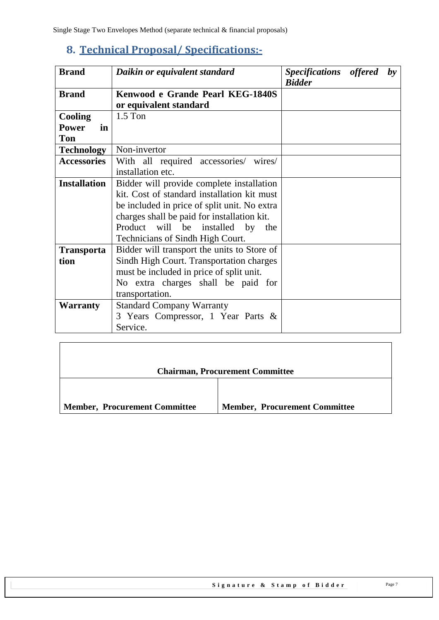# <span id="page-6-0"></span>**8. Technical Proposal/ Specifications:-**

| <b>Brand</b><br>Daikin or equivalent standard      |                                                                                                                                                                                                                                                                 | Specifications offered<br><b>Bidder</b> |  | $\mathbf{b}$ |
|----------------------------------------------------|-----------------------------------------------------------------------------------------------------------------------------------------------------------------------------------------------------------------------------------------------------------------|-----------------------------------------|--|--------------|
| <b>Brand</b>                                       | Kenwood e Grande Pearl KEG-1840S<br>or equivalent standard                                                                                                                                                                                                      |                                         |  |              |
| <b>Cooling</b><br><b>Power</b><br>in<br><b>Ton</b> | $1.5$ Ton                                                                                                                                                                                                                                                       |                                         |  |              |
| <b>Technology</b>                                  | Non-invertor                                                                                                                                                                                                                                                    |                                         |  |              |
| <b>Accessories</b>                                 | With all required accessories/ wires/<br>installation etc.                                                                                                                                                                                                      |                                         |  |              |
| <b>Installation</b>                                | Bidder will provide complete installation<br>kit. Cost of standard installation kit must<br>be included in price of split unit. No extra<br>charges shall be paid for installation kit.<br>Product will be installed by the<br>Technicians of Sindh High Court. |                                         |  |              |
| <b>Transporta</b><br>tion                          | Bidder will transport the units to Store of<br>Sindh High Court. Transportation charges<br>must be included in price of split unit.<br>No extra charges shall be paid for<br>transportation.                                                                    |                                         |  |              |
| <b>Warranty</b>                                    | <b>Standard Company Warranty</b><br>3 Years Compressor, 1 Year Parts &<br>Service.                                                                                                                                                                              |                                         |  |              |

|                                      | <b>Chairman, Procurement Committee</b> |
|--------------------------------------|----------------------------------------|
| <b>Member, Procurement Committee</b> | <b>Member, Procurement Committee</b>   |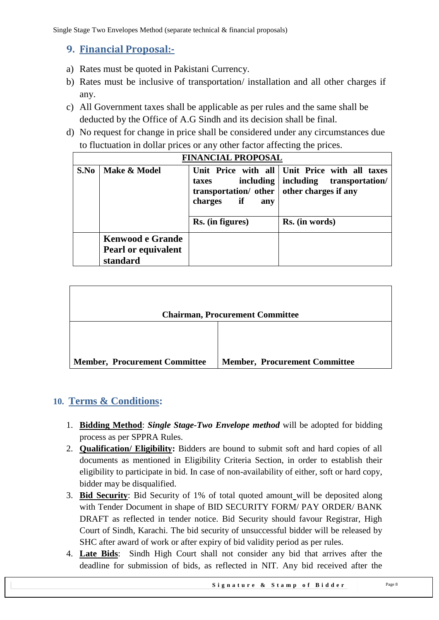## <span id="page-7-0"></span>**9. Financial Proposal:-**

- a) Rates must be quoted in Pakistani Currency.
- b) Rates must be inclusive of transportation/ installation and all other charges if any.
- c) All Government taxes shall be applicable as per rules and the same shall be deducted by the Office of A.G Sindh and its decision shall be final.
- d) No request for change in price shall be considered under any circumstances due to fluctuation in dollar prices or any other factor affecting the prices.

|      | <b>FINANCIAL PROPOSAL</b>                                         |                                                                                                          |                                                                                                        |
|------|-------------------------------------------------------------------|----------------------------------------------------------------------------------------------------------|--------------------------------------------------------------------------------------------------------|
| S.No | Make & Model                                                      | taxes<br>transportation/ other   other charges if any<br><i>if</i><br>charges<br>any<br>Rs. (in figures) | Unit Price with all Unit Price with all taxes<br>including including transportation/<br>Rs. (in words) |
|      | <b>Kenwood e Grande</b><br><b>Pearl or equivalent</b><br>standard |                                                                                                          |                                                                                                        |

|                                      | <b>Chairman, Procurement Committee</b> |
|--------------------------------------|----------------------------------------|
|                                      |                                        |
| <b>Member, Procurement Committee</b> | <b>Member, Procurement Committee</b>   |

## <span id="page-7-1"></span>**10. Terms & Conditions:**

- 1. **Bidding Method**: *Single Stage-Two Envelope method* will be adopted for bidding process as per SPPRA Rules.
- 2. **Qualification/ Eligibility:** Bidders are bound to submit soft and hard copies of all documents as mentioned in Eligibility Criteria Section, in order to establish their eligibility to participate in bid. In case of non-availability of either, soft or hard copy, bidder may be disqualified.
- 3. **Bid Security**: Bid Security of 1% of total quoted amount will be deposited along with Tender Document in shape of BID SECURITY FORM/ PAY ORDER/ BANK DRAFT as reflected in tender notice. Bid Security should favour Registrar, High Court of Sindh, Karachi. The bid security of unsuccessful bidder will be released by SHC after award of work or after expiry of bid validity period as per rules.
- 4. **Late Bids**: Sindh High Court shall not consider any bid that arrives after the deadline for submission of bids, as reflected in NIT. Any bid received after the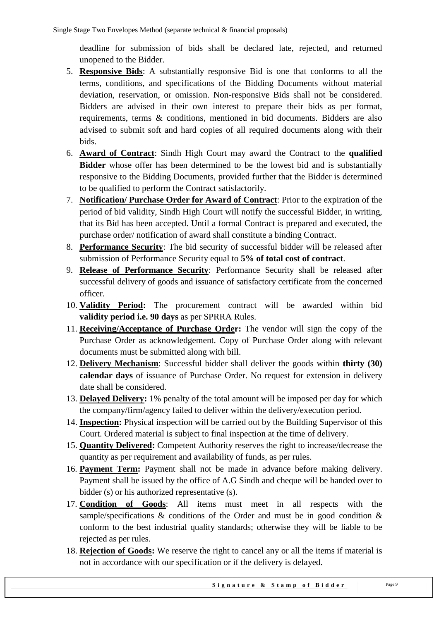deadline for submission of bids shall be declared late, rejected, and returned unopened to the Bidder.

- 5. **Responsive Bids**: A substantially responsive Bid is one that conforms to all the terms, conditions, and specifications of the Bidding Documents without material deviation, reservation, or omission. Non-responsive Bids shall not be considered. Bidders are advised in their own interest to prepare their bids as per format, requirements, terms & conditions, mentioned in bid documents. Bidders are also advised to submit soft and hard copies of all required documents along with their bids.
- 6. **Award of Contract**: Sindh High Court may award the Contract to the **qualified Bidder** whose offer has been determined to be the lowest bid and is substantially responsive to the Bidding Documents, provided further that the Bidder is determined to be qualified to perform the Contract satisfactorily.
- 7. **Notification/ Purchase Order for Award of Contract**: Prior to the expiration of the period of bid validity, Sindh High Court will notify the successful Bidder, in writing, that its Bid has been accepted. Until a formal Contract is prepared and executed, the purchase order/ notification of award shall constitute a binding Contract.
- 8. **Performance Security**: The bid security of successful bidder will be released after submission of Performance Security equal to **5% of total cost of contract**.
- 9. **Release of Performance Security**: Performance Security shall be released after successful delivery of goods and issuance of satisfactory certificate from the concerned officer.
- 10. **Validity Period:** The procurement contract will be awarded within bid **validity period i.e. 90 days** as per SPRRA Rules.
- 11. **Receiving/Acceptance of Purchase Order:** The vendor will sign the copy of the Purchase Order as acknowledgement. Copy of Purchase Order along with relevant documents must be submitted along with bill.
- 12. **Delivery Mechanism**: Successful bidder shall deliver the goods within **thirty (30) calendar days** of issuance of Purchase Order. No request for extension in delivery date shall be considered.
- 13. **Delayed Delivery:** 1% penalty of the total amount will be imposed per day for which the company/firm/agency failed to deliver within the delivery/execution period.
- 14. **Inspection:** Physical inspection will be carried out by the Building Supervisor of this Court. Ordered material is subject to final inspection at the time of delivery.
- 15. **Quantity Delivered:** Competent Authority reserves the right to increase/decrease the quantity as per requirement and availability of funds, as per rules.
- 16. **Payment Term:** Payment shall not be made in advance before making delivery. Payment shall be issued by the office of A.G Sindh and cheque will be handed over to bidder (s) or his authorized representative (s).
- 17. **Condition of Goods**: All items must meet in all respects with the sample/specifications  $\&$  conditions of the Order and must be in good condition  $\&$ conform to the best industrial quality standards; otherwise they will be liable to be rejected as per rules.
- 18. **Rejection of Goods:** We reserve the right to cancel any or all the items if material is not in accordance with our specification or if the delivery is delayed.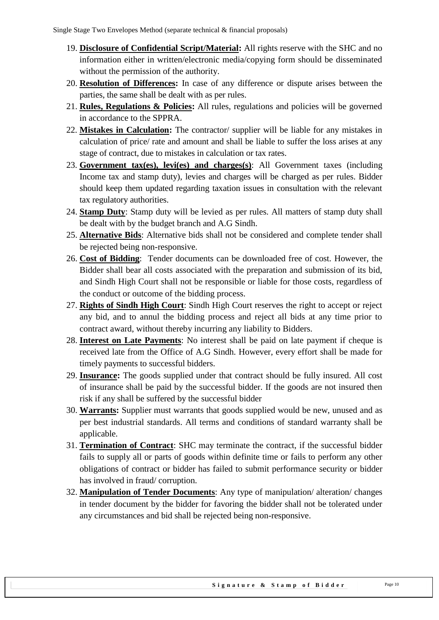- 19. **Disclosure of Confidential Script/Material:** All rights reserve with the SHC and no information either in written/electronic media/copying form should be disseminated without the permission of the authority.
- 20. **Resolution of Differences:** In case of any difference or dispute arises between the parties, the same shall be dealt with as per rules.
- 21. **Rules, Regulations & Policies:** All rules, regulations and policies will be governed in accordance to the SPPRA.
- 22. **Mistakes in Calculation:** The contractor/ supplier will be liable for any mistakes in calculation of price/ rate and amount and shall be liable to suffer the loss arises at any stage of contract, due to mistakes in calculation or tax rates.
- 23. **Government tax(es), levi(es) and charges(s)**: All Government taxes (including Income tax and stamp duty), levies and charges will be charged as per rules. Bidder should keep them updated regarding taxation issues in consultation with the relevant tax regulatory authorities.
- 24. **Stamp Duty**: Stamp duty will be levied as per rules. All matters of stamp duty shall be dealt with by the budget branch and A.G Sindh.
- 25. **Alternative Bids**: Alternative bids shall not be considered and complete tender shall be rejected being non-responsive.
- 26. **Cost of Bidding**: Tender documents can be downloaded free of cost. However, the Bidder shall bear all costs associated with the preparation and submission of its bid, and Sindh High Court shall not be responsible or liable for those costs, regardless of the conduct or outcome of the bidding process.
- 27. **Rights of Sindh High Court**: Sindh High Court reserves the right to accept or reject any bid, and to annul the bidding process and reject all bids at any time prior to contract award, without thereby incurring any liability to Bidders.
- 28. **Interest on Late Payments**: No interest shall be paid on late payment if cheque is received late from the Office of A.G Sindh. However, every effort shall be made for timely payments to successful bidders.
- 29. **Insurance:** The goods supplied under that contract should be fully insured. All cost of insurance shall be paid by the successful bidder. If the goods are not insured then risk if any shall be suffered by the successful bidder
- 30. **Warrants:** Supplier must warrants that goods supplied would be new, unused and as per best industrial standards. All terms and conditions of standard warranty shall be applicable.
- 31. **Termination of Contract**: SHC may terminate the contract, if the successful bidder fails to supply all or parts of goods within definite time or fails to perform any other obligations of contract or bidder has failed to submit performance security or bidder has involved in fraud/ corruption.
- 32. **Manipulation of Tender Documents**: Any type of manipulation/ alteration/ changes in tender document by the bidder for favoring the bidder shall not be tolerated under any circumstances and bid shall be rejected being non-responsive.